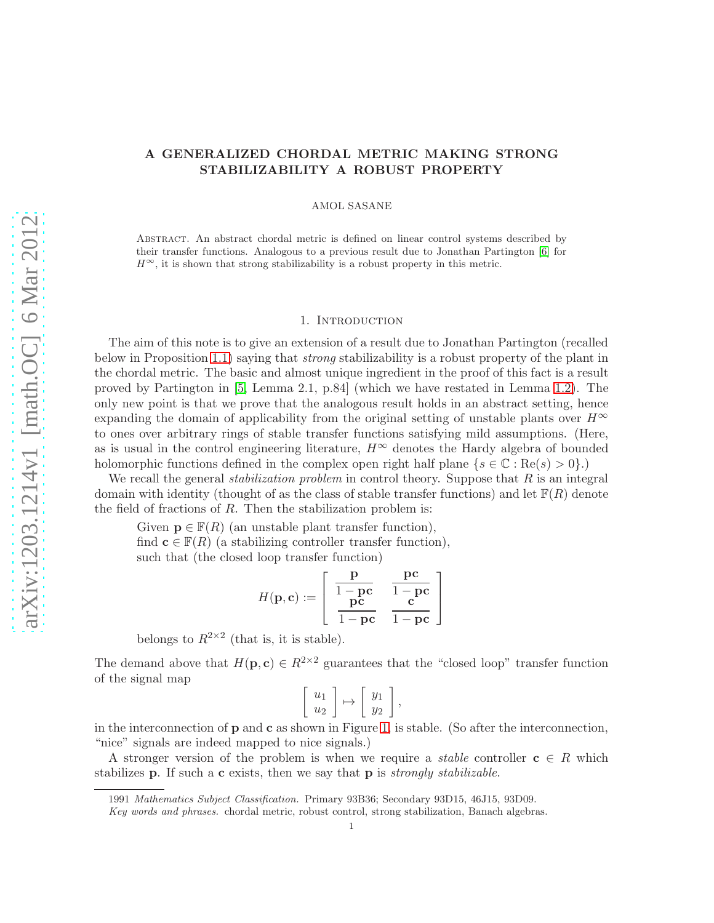# A GENERALIZED CHORDAL METRIC MAKING STRONG STABILIZABILITY A ROBUST PROPERTY

AMOL SASANE

Abstract. An abstract chordal metric is defined on linear control systems described by their transfer functions. Analogous to a previous result due to Jonathan Partington [\[6\]](#page-7-0) for  $H^{\infty}$ , it is shown that strong stabilizability is a robust property in this metric.

### 1. INTRODUCTION

The aim of this note is to give an extension of a result due to Jonathan Partington (recalled below in Proposition [1.1\)](#page-2-0) saying that strong stabilizability is a robust property of the plant in the chordal metric. The basic and almost unique ingredient in the proof of this fact is a result proved by Partington in [\[5,](#page-7-1) Lemma 2.1, p.84] (which we have restated in Lemma [1.2\)](#page-2-1). The only new point is that we prove that the analogous result holds in an abstract setting, hence expanding the domain of applicability from the original setting of unstable plants over  $H^{\infty}$ to ones over arbitrary rings of stable transfer functions satisfying mild assumptions. (Here, as is usual in the control engineering literature,  $H^{\infty}$  denotes the Hardy algebra of bounded holomorphic functions defined in the complex open right half plane  $\{s \in \mathbb{C} : \text{Re}(s) > 0\}$ .

We recall the general *stabilization problem* in control theory. Suppose that  $R$  is an integral domain with identity (thought of as the class of stable transfer functions) and let  $\mathbb{F}(R)$  denote the field of fractions of  $R$ . Then the stabilization problem is:

Given  $\mathbf{p} \in \mathbb{F}(R)$  (an unstable plant transfer function), find  $\mathbf{c} \in \mathbb{F}(R)$  (a stabilizing controller transfer function), such that (the closed loop transfer function)

$$
H(\mathbf{p}, \mathbf{c}) := \left[ \begin{array}{cc} \frac{\mathbf{p}}{1 - \mathbf{p} \mathbf{c}} & \frac{\mathbf{p} \mathbf{c}}{1 - \mathbf{p} \mathbf{c}} \\ \frac{\mathbf{p} \mathbf{c}}{1 - \mathbf{p} \mathbf{c}} & \frac{\mathbf{c}}{1 - \mathbf{p} \mathbf{c}} \end{array} \right]
$$

belongs to  $R^{2\times 2}$  (that is, it is stable).

The demand above that  $H(\mathbf{p}, \mathbf{c}) \in R^{2 \times 2}$  guarantees that the "closed loop" transfer function of the signal map

$$
\left[\begin{array}{c}u_1\\u_2\end{array}\right]\mapsto \left[\begin{array}{c}y_1\\y_2\end{array}\right],
$$

in the interconnection of p and c as shown in Figure [1,](#page-1-0) is stable. (So after the interconnection, "nice" signals are indeed mapped to nice signals.)

A stronger version of the problem is when we require a *stable* controller  $c \in R$  which stabilizes **p**. If such a **c** exists, then we say that **p** is *strongly stabilizable*.

<sup>1991</sup> Mathematics Subject Classification. Primary 93B36; Secondary 93D15, 46J15, 93D09.

Key words and phrases. chordal metric, robust control, strong stabilization, Banach algebras.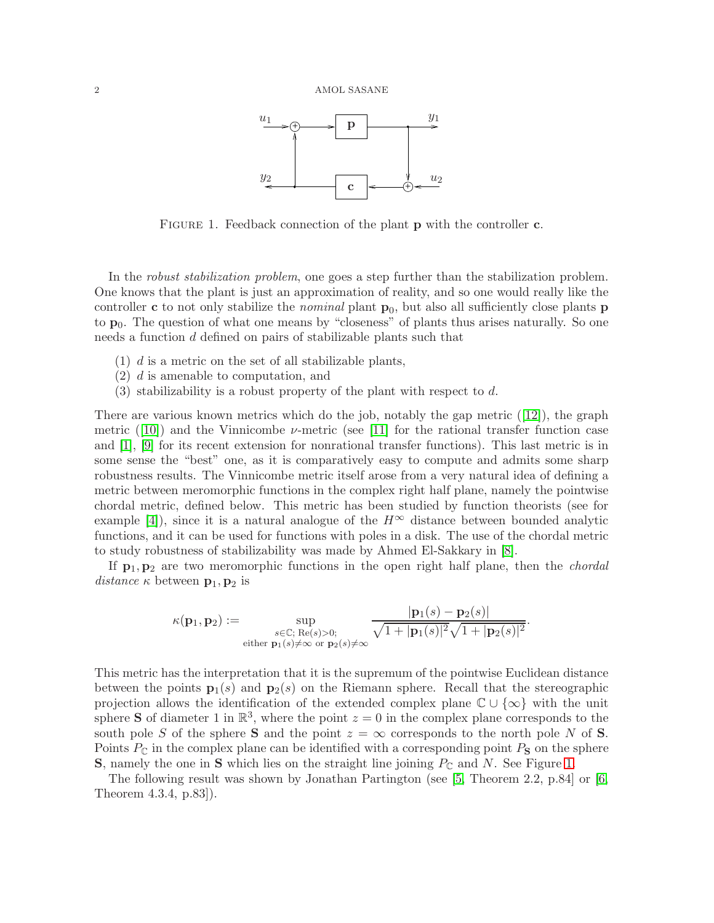

<span id="page-1-0"></span>FIGURE 1. Feedback connection of the plant **p** with the controller **c**.

In the *robust stabilization problem*, one goes a step further than the stabilization problem. One knows that the plant is just an approximation of reality, and so one would really like the controller c to not only stabilize the *nominal* plant  $p_0$ , but also all sufficiently close plants p to  $p_0$ . The question of what one means by "closeness" of plants thus arises naturally. So one needs a function d defined on pairs of stabilizable plants such that

- $(1)$  d is a metric on the set of all stabilizable plants,
- <span id="page-1-1"></span>(2) d is amenable to computation, and
- (3) stabilizability is a robust property of the plant with respect to  $d$ .

There are various known metrics which do the job, notably the gap metric  $(12)$ , the graph metric ([\[10\]](#page-8-1)) and the Vinnicombe  $\nu$ -metric (see [\[11\]](#page-8-2) for the rational transfer function case and [\[1\]](#page-7-2), [\[9\]](#page-8-3) for its recent extension for nonrational transfer functions). This last metric is in some sense the "best" one, as it is comparatively easy to compute and admits some sharp robustness results. The Vinnicombe metric itself arose from a very natural idea of defining a metric between meromorphic functions in the complex right half plane, namely the pointwise chordal metric, defined below. This metric has been studied by function theorists (see for example [\[4\]](#page-7-3)), since it is a natural analogue of the  $H^{\infty}$  distance between bounded analytic functions, and it can be used for functions with poles in a disk. The use of the chordal metric to study robustness of stabilizability was made by Ahmed El-Sakkary in [\[8\]](#page-7-4).

If  $p_1, p_2$  are two meromorphic functions in the open right half plane, then the *chordal* distance  $\kappa$  between  $\mathbf{p}_1, \mathbf{p}_2$  is

$$
\kappa(\mathbf{p}_1, \mathbf{p}_2) := \sup_{\substack{s \in \mathbb{C}; \ \text{Re}(s) > 0; \\ \text{either } \mathbf{p}_1(s) \neq \infty \text{ or } \mathbf{p}_2(s) \neq \infty}} \frac{|\mathbf{p}_1(s) - \mathbf{p}_2(s)|}{\sqrt{1 + |\mathbf{p}_1(s)|^2} \sqrt{1 + |\mathbf{p}_2(s)|^2}}.
$$

This metric has the interpretation that it is the supremum of the pointwise Euclidean distance between the points  $\mathbf{p}_1(s)$  and  $\mathbf{p}_2(s)$  on the Riemann sphere. Recall that the stereographic projection allows the identification of the extended complex plane  $\mathbb{C} \cup {\infty}$  with the unit sphere **S** of diameter 1 in  $\mathbb{R}^3$ , where the point  $z = 0$  in the complex plane corresponds to the south pole S of the sphere **S** and the point  $z = \infty$  corresponds to the north pole N of **S**. Points  $P_{\mathbb{C}}$  in the complex plane can be identified with a corresponding point  $P_{\mathbb{S}}$  on the sphere **S**, namely the one in S which lies on the straight line joining  $P_{\mathbb{C}}$  and N. See Figure [1.](#page-1-1)

The following result was shown by Jonathan Partington (see [\[5,](#page-7-1) Theorem 2.2, p.84] or [\[6,](#page-7-0) Theorem 4.3.4, p.83]).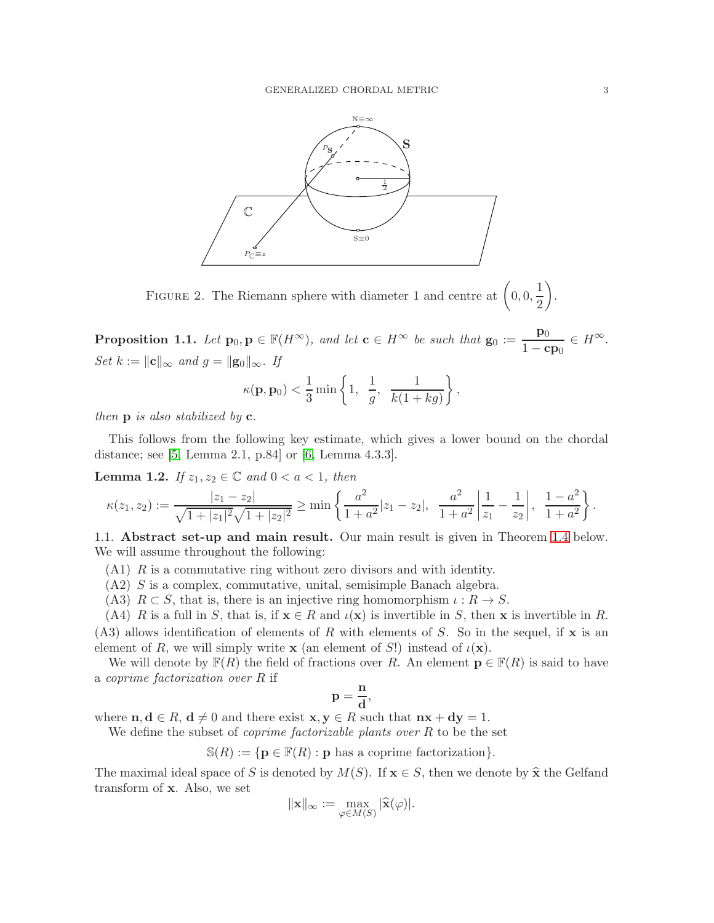

FIGURE 2. The Riemann sphere with diameter 1 and centre at  $\left(0,0,\frac{1}{2}\right)$ 2  $\setminus$ .

<span id="page-2-0"></span>**Proposition 1.1.** Let  $\mathbf{p}_0, \mathbf{p} \in \mathbb{F}(H^{\infty})$ , and let  $\mathbf{c} \in H^{\infty}$  be such that  $\mathbf{g}_0 := \frac{\mathbf{p}_0}{1 - \mathbf{c}}$  $\frac{\mathbf{p}_0}{1-\mathbf{c}\mathbf{p}_0} \in H^{\infty}.$ Set  $k := ||c||_{\infty}$  and  $g = ||g_0||_{\infty}$ . If  $\kappa({\bf p},{\bf p}_0)<\frac{1}{2}$  $rac{1}{3}$  min  $\left\{1, \frac{1}{g}\right\}$  $\frac{1}{g}$ ,  $\frac{1}{k(1+h)}$  $k(1 + kg)$  $\mathcal{L}$ ,

then  $\bf{p}$  is also stabilized by  $\bf{c}$ .

This follows from the following key estimate, which gives a lower bound on the chordal distance; see [\[5,](#page-7-1) Lemma 2.1, p.84] or [\[6,](#page-7-0) Lemma 4.3.3].

<span id="page-2-1"></span>**Lemma 1.2.** If  $z_1, z_2 \in \mathbb{C}$  and  $0 < a < 1$ , then

$$
\kappa(z_1, z_2) := \frac{|z_1 - z_2|}{\sqrt{1 + |z_1|^2} \sqrt{1 + |z_2|^2}} \ge \min\left\{\frac{a^2}{1 + a^2}|z_1 - z_2|, \frac{a^2}{1 + a^2}\left|\frac{1}{z_1} - \frac{1}{z_2}\right|, \frac{1 - a^2}{1 + a^2}\right\}.
$$

1.1. Abstract set-up and main result. Our main result is given in Theorem [1.4](#page-4-0) below. We will assume throughout the following:

- $(A1)$  R is a commutative ring without zero divisors and with identity.
- (A2) S is a complex, commutative, unital, semisimple Banach algebra.
- (A3)  $R \subset S$ , that is, there is an injective ring homomorphism  $\iota : R \to S$ .
- (A4) R is a full in S, that is, if  $\mathbf{x} \in R$  and  $\iota(\mathbf{x})$  is invertible in S, then x is invertible in R.  $(A3)$  allows identification of elements of R with elements of S. So in the sequel, if **x** is an element of R, we will simply write **x** (an element of S!) instead of  $\iota(\mathbf{x})$ .

We will denote by  $\mathbb{F}(R)$  the field of fractions over R. An element  $\mathbf{p} \in \mathbb{F}(R)$  is said to have a coprime factorization over R if

$$
\mathbf{p}=\frac{\mathbf{n}}{\mathbf{d}},
$$

where  $n, d \in R$ ,  $d \neq 0$  and there exist  $x, y \in R$  such that  $nx + dy = 1$ .

We define the subset of *coprime factorizable plants over*  $R$  to be the set

 $\mathbb{S}(R) := \{ \mathbf{p} \in \mathbb{F}(R) : \mathbf{p} \text{ has a coprime factorization} \}.$ 

The maximal ideal space of S is denoted by  $M(S)$ . If  $\mathbf{x} \in S$ , then we denote by  $\hat{\mathbf{x}}$  the Gelfand transform of x. Also, we set

$$
\|\mathbf{x}\|_{\infty} := \max_{\varphi \in M(S)} |\widehat{\mathbf{x}}(\varphi)|.
$$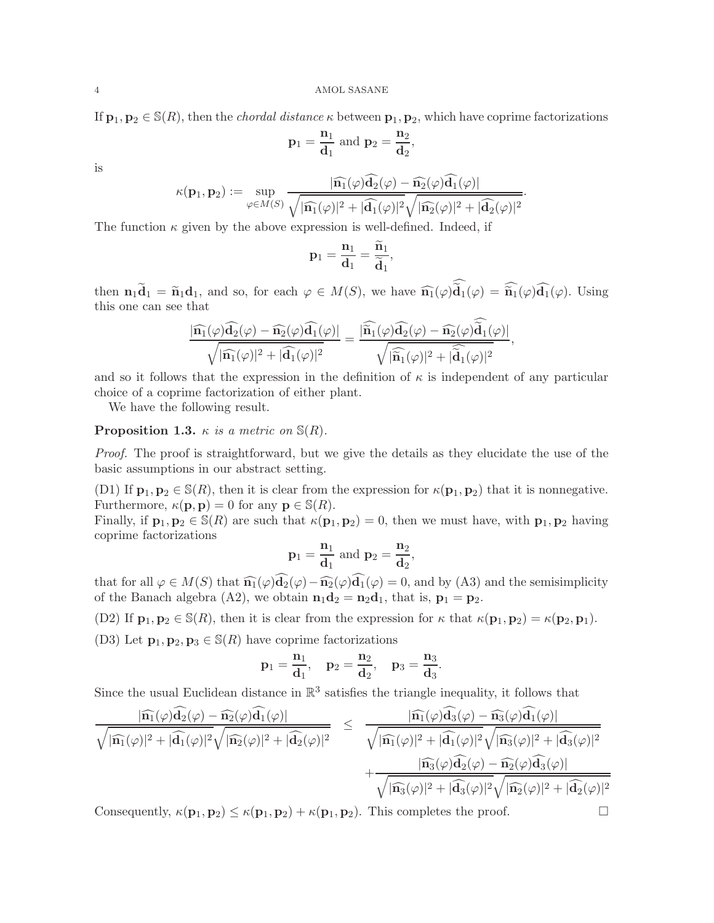If  $\mathbf{p}_1, \mathbf{p}_2 \in \mathbb{S}(R)$ , then the *chordal distance*  $\kappa$  between  $\mathbf{p}_1, \mathbf{p}_2$ , which have coprime factorizations

$$
\mathbf{p}_1 = \frac{\mathbf{n}_1}{\mathbf{d}_1} \text{ and } \mathbf{p}_2 = \frac{\mathbf{n}_2}{\mathbf{d}_2},
$$

is

$$
\kappa(\mathbf{p}_1, \mathbf{p}_2) := \sup_{\varphi \in M(S)} \frac{|\widehat{\mathbf{n}_1}(\varphi)\mathbf{d}_2(\varphi) - \widehat{\mathbf{n}_2}(\varphi)\mathbf{d}_1(\varphi)|}{\sqrt{|\widehat{\mathbf{n}_1}(\varphi)|^2 + |\widehat{\mathbf{d}_1}(\varphi)|^2} \sqrt{|\widehat{\mathbf{n}_2}(\varphi)|^2 + |\widehat{\mathbf{d}_2}(\varphi)|^2}}.
$$

The function  $\kappa$  given by the above expression is well-defined. Indeed, if

$$
\mathbf{p}_1 = \frac{\mathbf{n}_1}{\mathbf{d}_1} = \frac{\widetilde{\mathbf{n}}_1}{\widetilde{\mathbf{d}}_1}
$$

,

then  $\mathbf{n}_1 \mathbf{d}_1 = \widetilde{\mathbf{n}}_1 \mathbf{d}_1$ , and so, for each  $\varphi \in M(S)$ , we have  $\widehat{\mathbf{n}_1}(\varphi) \mathbf{d}_1(\varphi) = \widetilde{\mathbf{n}}_1(\varphi) \mathbf{d}_1(\varphi)$ . Using this one can see that

$$
\frac{|\widehat{\mathbf{n}_1}(\varphi)\widehat{\mathbf{d}_2}(\varphi)-\widehat{\mathbf{n}_2}(\varphi)\widehat{\mathbf{d}_1}(\varphi)|}{\sqrt{|\widehat{\mathbf{n}_1}(\varphi)|^2+|\widehat{\mathbf{d}_1}(\varphi)|^2}}=\frac{|\widehat{\widetilde{\mathbf{n}_1}}(\varphi)\widehat{\mathbf{d}_2}(\varphi)-\widehat{\mathbf{n}_2}(\varphi)\overline{\widetilde{\mathbf{d}_1}(\varphi)}|}{\sqrt{|\widehat{\widetilde{\mathbf{n}_1}}(\varphi)|^2+|\widehat{\widetilde{\mathbf{d}_1}}(\varphi)|^2}},
$$

and so it follows that the expression in the definition of  $\kappa$  is independent of any particular choice of a coprime factorization of either plant.

We have the following result.

**Proposition 1.3.**  $\kappa$  is a metric on  $\mathbb{S}(R)$ .

Proof. The proof is straightforward, but we give the details as they elucidate the use of the basic assumptions in our abstract setting.

(D1) If  $\mathbf{p}_1, \mathbf{p}_2 \in \mathbb{S}(R)$ , then it is clear from the expression for  $\kappa(\mathbf{p}_1, \mathbf{p}_2)$  that it is nonnegative. Furthermore,  $\kappa(\mathbf{p}, \mathbf{p}) = 0$  for any  $\mathbf{p} \in \mathbb{S}(R)$ .

Finally, if  $\mathbf{p}_1, \mathbf{p}_2 \in \mathbb{S}(R)$  are such that  $\kappa(\mathbf{p}_1, \mathbf{p}_2) = 0$ , then we must have, with  $\mathbf{p}_1, \mathbf{p}_2$  having coprime factorizations

$$
{\bf p}_1=\frac{{\bf n}_1}{{\bf d}_1} \ {\rm and} \ {\bf p}_2=\frac{{\bf n}_2}{{\bf d}_2},
$$

that for all  $\varphi \in M(S)$  that  $\widehat{\mathbf{n}_1}(\varphi) \mathbf{d}_2(\varphi) - \widehat{\mathbf{n}_2}(\varphi) \mathbf{d}_1(\varphi) = 0$ , and by (A3) and the semisimplicity of the Banach algebra (A2), we obtain  $\mathbf{n}_1\mathbf{d}_2 = \mathbf{n}_2\mathbf{d}_1$ , that is,  $\mathbf{p}_1 = \mathbf{p}_2$ .

(D2) If  $\mathbf{p}_1, \mathbf{p}_2 \in \mathbb{S}(R)$ , then it is clear from the expression for  $\kappa$  that  $\kappa(\mathbf{p}_1, \mathbf{p}_2) = \kappa(\mathbf{p}_2, \mathbf{p}_1)$ .

(D3) Let  $\mathbf{p}_1, \mathbf{p}_2, \mathbf{p}_3 \in \mathbb{S}(R)$  have coprime factorizations

$$
{\bf p}_1=\frac{{\bf n}_1}{{\bf d}_1},\quad {\bf p}_2=\frac{{\bf n}_2}{{\bf d}_2},\quad {\bf p}_3=\frac{{\bf n}_3}{{\bf d}_3}.
$$

Since the usual Euclidean distance in  $\mathbb{R}^3$  satisfies the triangle inequality, it follows that

$$
\frac{|\widehat{\mathbf{n}_1}(\varphi)\widehat{\mathbf{d}_2}(\varphi)-\widehat{\mathbf{n}_2}(\varphi)\widehat{\mathbf{d}_1}(\varphi)|}{\sqrt{|\widehat{\mathbf{n}_1}(\varphi)|^2+|\widehat{\mathbf{d}_1}(\varphi)|^2}\sqrt{|\widehat{\mathbf{n}_2}(\varphi)|^2+|\widehat{\mathbf{d}_2}(\varphi)|^2}}\quad\leq\quad \frac{|\widehat{\mathbf{n}_1}(\varphi)\widehat{\mathbf{d}_3}(\varphi)-\widehat{\mathbf{n}_3}(\varphi)\widehat{\mathbf{d}_1}(\varphi)|}{\sqrt{|\widehat{\mathbf{n}_1}(\varphi)|^2+|\widehat{\mathbf{d}_1}(\varphi)|^2}\sqrt{|\widehat{\mathbf{n}_3}(\varphi)|^2+|\widehat{\mathbf{d}_3}(\varphi)|^2}}\quad+\frac{|\widehat{\mathbf{n}_3}(\varphi)\widehat{\mathbf{d}_2}(\varphi)-\widehat{\mathbf{n}_2}(\varphi)\widehat{\mathbf{d}_3}(\varphi)|}{\sqrt{|\widehat{\mathbf{n}_3}(\varphi)|^2+|\widehat{\mathbf{d}_3}(\varphi)|^2}\sqrt{|\widehat{\mathbf{n}_2}(\varphi)|^2+|\widehat{\mathbf{d}_2}(\varphi)|^2}}
$$

Consequently,  $\kappa(\mathbf{p}_1, \mathbf{p}_2) \leq \kappa(\mathbf{p}_1, \mathbf{p}_2) + \kappa(\mathbf{p}_1, \mathbf{p}_2)$ . This completes the proof.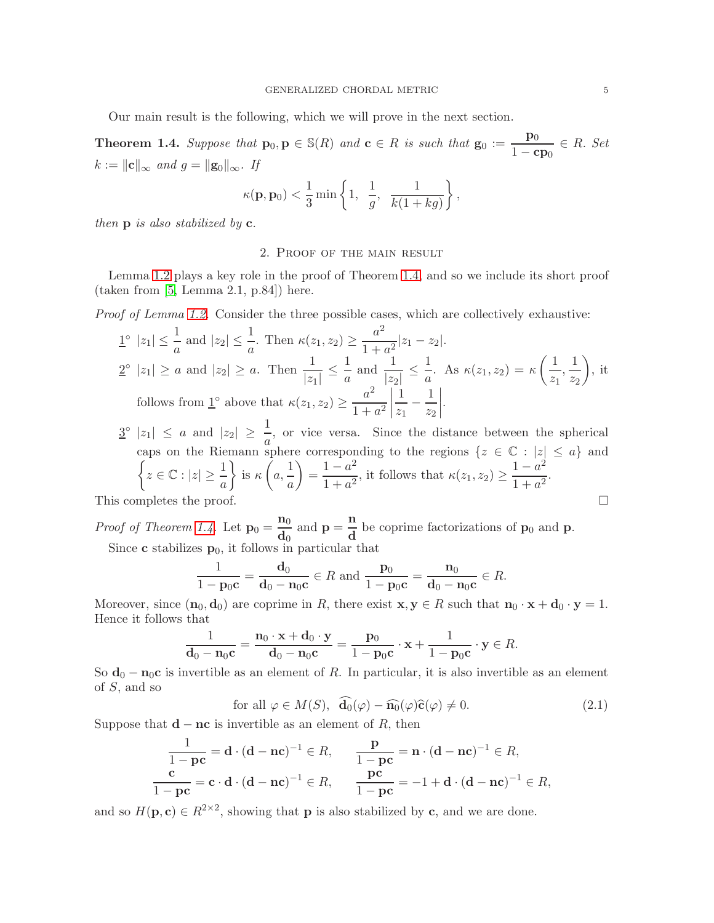Our main result is the following, which we will prove in the next section.

<span id="page-4-0"></span>**Theorem 1.4.** Suppose that  $\mathbf{p}_0, \mathbf{p} \in \mathbb{S}(R)$  and  $\mathbf{c} \in R$  is such that  $\mathbf{g}_0 := \frac{\mathbf{p}_0}{1 - \mathbf{c}}$  $\frac{\mathbf{P}^0}{1-\mathbf{cp}_0} \in R$ . Set  $k := ||c||_{\infty}$  and  $g = ||g_0||_{\infty}$ . If

$$
\kappa(\mathbf{p}, \mathbf{p}_0) < \frac{1}{3} \min \left\{ 1, \frac{1}{g}, \frac{1}{k(1 + kg)} \right\},\
$$

then  $\bf{p}$  is also stabilized by  $\bf{c}$ .

## 2. Proof of the main result

Lemma [1.2](#page-2-1) plays a key role in the proof of Theorem [1.4,](#page-4-0) and so we include its short proof (taken from [\[5,](#page-7-1) Lemma 2.1, p.84]) here.

Proof of Lemma [1.2.](#page-2-1) Consider the three possible cases, which are collectively exhaustive:

$$
\begin{aligned}\n\mathbf{1}^{\circ} \ |z_1| &\leq \frac{1}{a} \text{ and } |z_2| \leq \frac{1}{a}. \text{ Then } \kappa(z_1, z_2) \geq \frac{a^2}{1 + a^2} |z_1 - z_2|. \\
\mathbf{2}^{\circ} \ |z_1| &\geq a \text{ and } |z_2| \geq a. \text{ Then } \frac{1}{|z_1|} \leq \frac{1}{a} \text{ and } \frac{1}{|z_2|} \leq \frac{1}{a}. \text{ As } \kappa(z_1, z_2) = \kappa\left(\frac{1}{z_1}, \frac{1}{z_2}\right), \text{ it follows from } \mathbf{1}^{\circ} \text{ above that } \kappa(z_1, z_2) \geq \frac{a^2}{1 + a^2} \left| \frac{1}{z_1} - \frac{1}{z_2} \right|.\n\end{aligned}
$$

 $3^{\circ} |z_1| \leq a$  and  $|z_2| \geq \frac{1}{a}$ , or vice versa. Since the distance between the spherical caps on the Riemann sphere corresponding to the regions  $\{z \in \mathbb{C} : |z| \le a\}$  and  $\left\{z \in \mathbb{C} : |z| \ge \frac{1}{a}\right\}$  is  $\kappa\left(a, \frac{1}{a}\right) = \frac{1-a^2}{1+a^2}$ , it follows that  $\kappa(z_1, z_2) \ge \frac{1-a^2}{1+a^2}$ .  $\mathcal{L}$ is  $\kappa$  $\sqrt{ }$  $a, \frac{1}{a}$ a  $\setminus$  $=\frac{1-a^2}{1+a^2}$  $\frac{1-a^2}{1+a^2}$ , it follows that  $\kappa(z_1, z_2) \ge \frac{1-a^2}{1+a^2}$  $\frac{1}{1+a^2}$ . This completes the proof.  $\Box$ 

*Proof of Theorem [1.4.](#page-4-0)* Let  $\mathbf{p}_0 = \frac{\mathbf{n}_0}{4}$  $\frac{\mathbf{n}_0}{\mathbf{d}_0}$  and  $\mathbf{p} = \frac{\mathbf{n}}{\mathbf{d}}$  $\frac{d}{d}$  be coprime factorizations of  $\mathbf{p}_0$  and  $\mathbf{p}$ . Since **c** stabilizes  $\mathbf{p}_0$ , it follows in particular that

$$
\frac{1}{1-\mathbf{p}_0\mathbf{c}} = \frac{\mathbf{d}_0}{\mathbf{d}_0 - \mathbf{n}_0\mathbf{c}} \in R \text{ and } \frac{\mathbf{p}_0}{1-\mathbf{p}_0\mathbf{c}} = \frac{\mathbf{n}_0}{\mathbf{d}_0 - \mathbf{n}_0\mathbf{c}} \in R.
$$

Moreover, since  $(\mathbf{n}_0, \mathbf{d}_0)$  are coprime in R, there exist  $\mathbf{x}, \mathbf{y} \in R$  such that  $\mathbf{n}_0 \cdot \mathbf{x} + \mathbf{d}_0 \cdot \mathbf{y} = 1$ . Hence it follows that

$$
\frac{1}{\mathbf{d}_0 - \mathbf{n}_0 \mathbf{c}} = \frac{\mathbf{n}_0 \cdot \mathbf{x} + \mathbf{d}_0 \cdot \mathbf{y}}{\mathbf{d}_0 - \mathbf{n}_0 \mathbf{c}} = \frac{\mathbf{p}_0}{1 - \mathbf{p}_0 \mathbf{c}} \cdot \mathbf{x} + \frac{1}{1 - \mathbf{p}_0 \mathbf{c}} \cdot \mathbf{y} \in R.
$$

So  $\mathbf{d}_0 - \mathbf{n}_0 \mathbf{c}$  is invertible as an element of R. In particular, it is also invertible as an element of  $S$ , and so

<span id="page-4-1"></span>for all 
$$
\varphi \in M(S)
$$
,  $\mathbf{d}_0(\varphi) - \widehat{\mathbf{n}_0}(\varphi)\widehat{\mathbf{c}}(\varphi) \neq 0.$  (2.1)

Suppose that  $\mathbf{d} - \mathbf{nc}$  is invertible as an element of R, then

$$
\frac{1}{1-\mathbf{pc}} = \mathbf{d} \cdot (\mathbf{d} - \mathbf{nc})^{-1} \in R, \qquad \frac{\mathbf{p}}{1-\mathbf{pc}} = \mathbf{n} \cdot (\mathbf{d} - \mathbf{nc})^{-1} \in R,
$$
  

$$
\frac{\mathbf{c}}{1-\mathbf{pc}} = \mathbf{c} \cdot \mathbf{d} \cdot (\mathbf{d} - \mathbf{nc})^{-1} \in R, \qquad \frac{\mathbf{pc}}{1-\mathbf{pc}} = -1 + \mathbf{d} \cdot (\mathbf{d} - \mathbf{nc})^{-1} \in R,
$$

and so  $H(\mathbf{p}, \mathbf{c}) \in R^{2 \times 2}$ , showing that **p** is also stabilized by **c**, and we are done.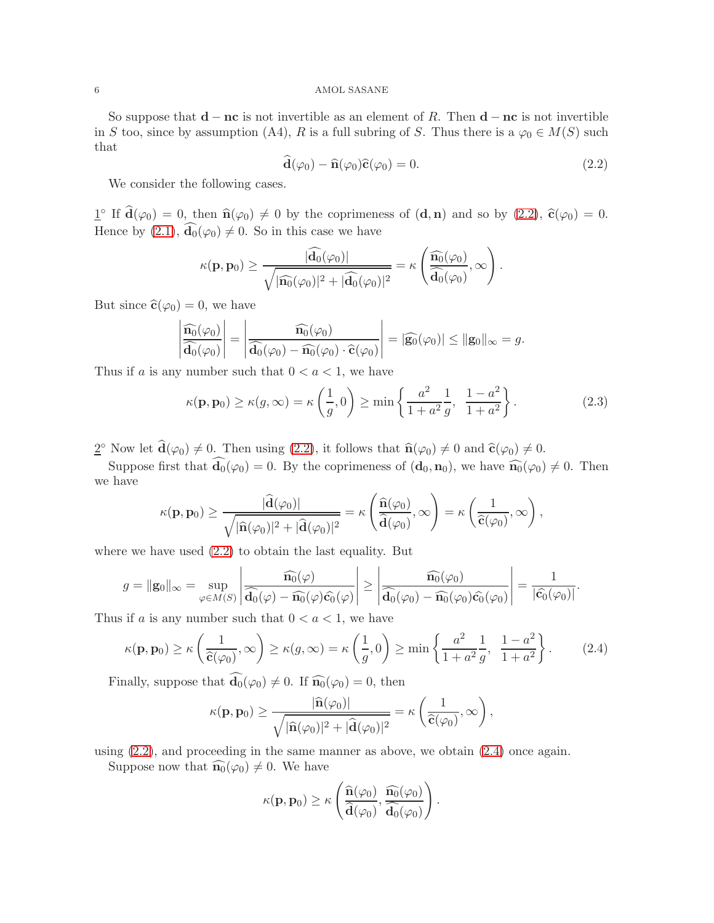### 6 AMOL SASANE

So suppose that  $\mathbf{d} - \mathbf{nc}$  is not invertible as an element of R. Then  $\mathbf{d} - \mathbf{nc}$  is not invertible in S too, since by assumption (A4), R is a full subring of S. Thus there is a  $\varphi_0 \in M(S)$  such that

<span id="page-5-0"></span>
$$
\mathbf{\hat{d}}(\varphi_0) - \mathbf{\hat{n}}(\varphi_0)\mathbf{\hat{c}}(\varphi_0) = 0. \tag{2.2}
$$

We consider the following cases.

 $\underline{1}^{\circ}$  If  $\hat{\mathbf{d}}(\varphi_0) = 0$ , then  $\hat{\mathbf{n}}(\varphi_0) \neq 0$  by the coprimeness of  $(\mathbf{d}, \mathbf{n})$  and so by  $(2.2)$ ,  $\hat{\mathbf{c}}(\varphi_0) = 0$ . Hence by  $(2.1)$ ,  $\widehat{\mathbf{d}_0}(\varphi_0) \neq 0$ . So in this case we have

$$
\kappa(\mathbf{p},\mathbf{p}_0) \geq \frac{|\widehat{\mathbf{d}_0}(\varphi_0)|}{\sqrt{|\widehat{\mathbf{n}_0}(\varphi_0)|^2+|\widehat{\mathbf{d}_0}(\varphi_0)|^2}} = \kappa\left(\frac{\widehat{\mathbf{n}_0}(\varphi_0)}{\widehat{\mathbf{d}_0}(\varphi_0)},\infty\right).
$$

But since  $\hat{\mathbf{c}}(\varphi_0) = 0$ , we have

$$
\left|\frac{\widehat{\mathbf{n}_0}(\varphi_0)}{\widehat{\mathbf{d}_0}(\varphi_0)}\right| = \left|\frac{\widehat{\mathbf{n}_0}(\varphi_0)}{\widehat{\mathbf{d}_0}(\varphi_0) - \widehat{\mathbf{n}_0}(\varphi_0) \cdot \widehat{\mathbf{c}}(\varphi_0)}\right| = \left|\widehat{\mathbf{g}_0}(\varphi_0)\right| \leq \|\mathbf{g}_0\|_{\infty} = g.
$$

Thus if a is any number such that  $0 < a < 1$ , we have

<span id="page-5-2"></span>
$$
\kappa(\mathbf{p}, \mathbf{p}_0) \ge \kappa(g, \infty) = \kappa\left(\frac{1}{g}, 0\right) \ge \min\left\{\frac{a^2}{1+a^2}\frac{1}{g}, \frac{1-a^2}{1+a^2}\right\}.
$$
\n(2.3)

 $\underline{2}^{\circ}$  Now let  $\widehat{\mathbf{d}}(\varphi_0) \neq 0$ . Then using [\(2.2\)](#page-5-0), it follows that  $\widehat{\mathbf{n}}(\varphi_0) \neq 0$  and  $\widehat{\mathbf{c}}(\varphi_0) \neq 0$ .

Suppose first that  $\widehat{\mathbf{d}_0}(\varphi_0) = 0$ . By the coprimeness of  $(\mathbf{d}_0, \mathbf{n}_0)$ , we have  $\widehat{\mathbf{n}_0}(\varphi_0) \neq 0$ . Then we have

$$
\kappa(\mathbf{p},\mathbf{p}_0)\geq \frac{|\widehat{\mathbf{d}}(\varphi_0)|}{\sqrt{|\widehat{\mathbf{n}}(\varphi_0)|^2+|\widehat{\mathbf{d}}(\varphi_0)|^2}}=\kappa\left(\frac{\widehat{\mathbf{n}}(\varphi_0)}{\widehat{\mathbf{d}}(\varphi_0)},\infty\right)=\kappa\left(\frac{1}{\widehat{\mathbf{c}}(\varphi_0)},\infty\right),
$$

where we have used [\(2.2\)](#page-5-0) to obtain the last equality. But

$$
g = \|\mathbf{g}_0\|_{\infty} = \sup_{\varphi \in M(S)} \left| \frac{\widehat{\mathbf{n}_0}(\varphi)}{\widehat{\mathbf{d}_0}(\varphi) - \widehat{\mathbf{n}_0}(\varphi)\widehat{\mathbf{c}_0}(\varphi)} \right| \ge \left| \frac{\widehat{\mathbf{n}_0}(\varphi_0)}{\widehat{\mathbf{d}_0}(\varphi_0) - \widehat{\mathbf{n}_0}(\varphi_0)\widehat{\mathbf{c}_0}(\varphi_0)} \right| = \frac{1}{|\widehat{\mathbf{c}_0}(\varphi_0)|}.
$$

Thus if a is any number such that  $0 < a < 1$ , we have

<span id="page-5-1"></span>
$$
\kappa(\mathbf{p}, \mathbf{p}_0) \ge \kappa\left(\frac{1}{\widehat{\mathbf{c}}(\varphi_0)}, \infty\right) \ge \kappa(g, \infty) = \kappa\left(\frac{1}{g}, 0\right) \ge \min\left\{\frac{a^2}{1+a^2}\frac{1}{g}, \frac{1-a^2}{1+a^2}\right\}.
$$
 (2.4)

Finally, suppose that  $\mathbf{d}_0(\varphi_0) \neq 0$ . If  $\widehat{\mathbf{n}_0}(\varphi_0) = 0$ , then

$$
\kappa(\mathbf{p},\mathbf{p}_0) \geq \frac{|\widehat{\mathbf{n}}(\varphi_0)|}{\sqrt{|\widehat{\mathbf{n}}(\varphi_0)|^2 + |\widehat{\mathbf{d}}(\varphi_0)|^2}} = \kappa\left(\frac{1}{\widehat{\mathbf{c}}(\varphi_0)},\infty\right),
$$

using [\(2.2\)](#page-5-0), and proceeding in the same manner as above, we obtain [\(2.4\)](#page-5-1) once again.

Suppose now that  $\widehat{\mathbf{n}_0}(\varphi_0) \neq 0$ . We have

$$
\kappa(\mathbf{p},\mathbf{p}_0)\geq \kappa\left(\frac{\widehat{\mathbf{n}}(\varphi_0)}{\widehat{\mathbf{d}}(\varphi_0)},\frac{\widehat{\mathbf{n}_0}(\varphi_0)}{\widehat{\mathbf{d}_0}(\varphi_0)}\right).
$$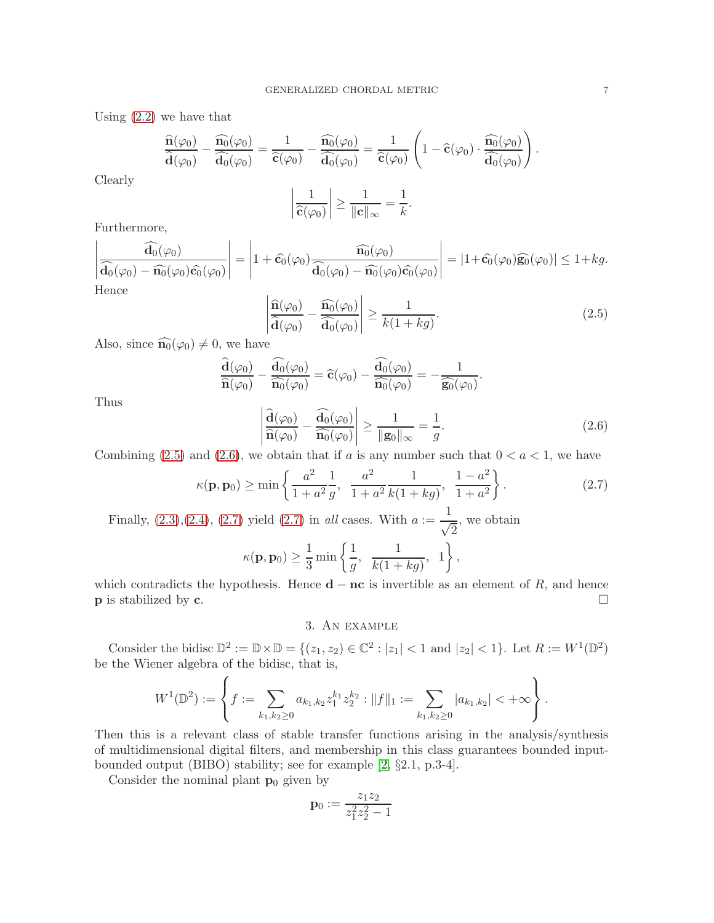Using [\(2.2\)](#page-5-0) we have that

$$
\frac{\widehat{\mathbf{n}}(\varphi_0)}{\widehat{\mathbf{d}}(\varphi_0)} - \frac{\widehat{\mathbf{n}_0}(\varphi_0)}{\widehat{\mathbf{d}_0}(\varphi_0)} = \frac{1}{\widehat{\mathbf{c}}(\varphi_0)} - \frac{\widehat{\mathbf{n}_0}(\varphi_0)}{\widehat{\mathbf{d}_0}(\varphi_0)} = \frac{1}{\widehat{\mathbf{c}}(\varphi_0)} \left(1 - \widehat{\mathbf{c}}(\varphi_0) \cdot \frac{\widehat{\mathbf{n}_0}(\varphi_0)}{\widehat{\mathbf{d}_0}(\varphi_0)}\right).
$$

Clearly

Thus

$$
\left|\frac{1}{\widehat{\mathbf{c}}(\varphi_0)}\right| \ge \frac{1}{\|\mathbf{c}\|_{\infty}} = \frac{1}{k}.
$$

Furthermore,

$$
\left| \frac{\widehat{\mathbf{d}_0}(\varphi_0)}{\widehat{\mathbf{d}_0}(\varphi_0) - \widehat{\mathbf{n}_0}(\varphi_0)\widehat{\mathbf{c}_0}(\varphi_0)} \right| = \left| 1 + \widehat{\mathbf{c}_0}(\varphi_0) \frac{\widehat{\mathbf{n}_0}(\varphi_0)}{\widehat{\mathbf{d}_0}(\varphi_0) - \widehat{\mathbf{n}_0}(\varphi_0)\widehat{\mathbf{c}_0}(\varphi_0)} \right| = |1 + \widehat{\mathbf{c}_0}(\varphi_0)\widehat{\mathbf{g}_0}(\varphi_0)| \le 1 + kg.
$$
  
Hence

<span id="page-6-0"></span>
$$
\left| \frac{\widehat{\mathbf{n}}(\varphi_0)}{\widehat{\mathbf{d}}(\varphi_0)} - \frac{\widehat{\mathbf{n}_0}(\varphi_0)}{\widehat{\mathbf{d}_0}(\varphi_0)} \right| \ge \frac{1}{k(1+kg)}.\tag{2.5}
$$

Also, since  $\widehat{\mathbf{n}_0}(\varphi_0) \neq 0$ , we have

<span id="page-6-1"></span>
$$
\frac{\widehat{\mathbf{d}}(\varphi_0)}{\widehat{\mathbf{n}}(\varphi_0)} - \frac{\widehat{\mathbf{d}_0}(\varphi_0)}{\widehat{\mathbf{n}_0}(\varphi_0)} = \widehat{\mathbf{c}}(\varphi_0) - \frac{\widehat{\mathbf{d}_0}(\varphi_0)}{\widehat{\mathbf{n}_0}(\varphi_0)} = -\frac{1}{\widehat{\mathbf{g}_0}(\varphi_0)}.
$$
\n
$$
\left| \frac{\widehat{\mathbf{d}}(\varphi_0)}{\widehat{\mathbf{n}}(\varphi_0)} - \frac{\widehat{\mathbf{d}_0}(\varphi_0)}{\widehat{\mathbf{n}_0}(\varphi_0)} \right| \ge \frac{1}{\|\mathbf{g}_0\|_{\infty}} = \frac{1}{g}.
$$
\n(2.6)

Combining [\(2.5\)](#page-6-0) and [\(2.6\)](#page-6-1), we obtain that if a is any number such that  $0 < a < 1$ , we have

<span id="page-6-2"></span>
$$
\kappa(\mathbf{p}, \mathbf{p}_0) \ge \min \left\{ \frac{a^2}{1 + a^2} \frac{1}{g}, \frac{a^2}{1 + a^2} \frac{1}{k(1 + kg)}, \frac{1 - a^2}{1 + a^2} \right\}.
$$
 (2.7)

Finally,  $(2.3), (2.4), (2.7)$  $(2.3), (2.4), (2.7)$  $(2.3), (2.4), (2.7)$  $(2.3), (2.4), (2.7)$  yield  $(2.7)$  in all cases. With  $a := \frac{1}{4}$  $\sqrt{2}$ , we obtain

$$
\kappa(\mathbf{p}, \mathbf{p}_0) \ge \frac{1}{3} \min \left\{ \frac{1}{g}, \frac{1}{k(1+kg)}, 1 \right\},\
$$

which contradicts the hypothesis. Hence **d** − **nc** is invertible as an element of R, and hence **p** is stabilized by **c**. p is stabilized by c.

### 3. An example

Consider the bidisc  $\mathbb{D}^2 := \mathbb{D} \times \mathbb{D} = \{(z_1, z_2) \in \mathbb{C}^2 : |z_1| < 1 \text{ and } |z_2| < 1\}.$  Let  $R := W^1(\mathbb{D}^2)$ be the Wiener algebra of the bidisc, that is,

$$
W^{1}(\mathbb{D}^{2}) := \left\{ f := \sum_{k_{1},k_{2} \geq 0} a_{k_{1},k_{2}} z_{1}^{k_{1}} z_{2}^{k_{2}} : ||f||_{1} := \sum_{k_{1},k_{2} \geq 0} |a_{k_{1},k_{2}}| < +\infty \right\}.
$$

Then this is a relevant class of stable transfer functions arising in the analysis/synthesis of multidimensional digital filters, and membership in this class guarantees bounded inputbounded output (BIBO) stability; see for example [\[2,](#page-7-5) §2.1, p.3-4].

Consider the nominal plant  $\mathbf{p}_0$  given by

 $\lambda$ 

$$
\mathbf{p}_0:=\frac{z_1z_2}{z_1^2z_2^2-1}
$$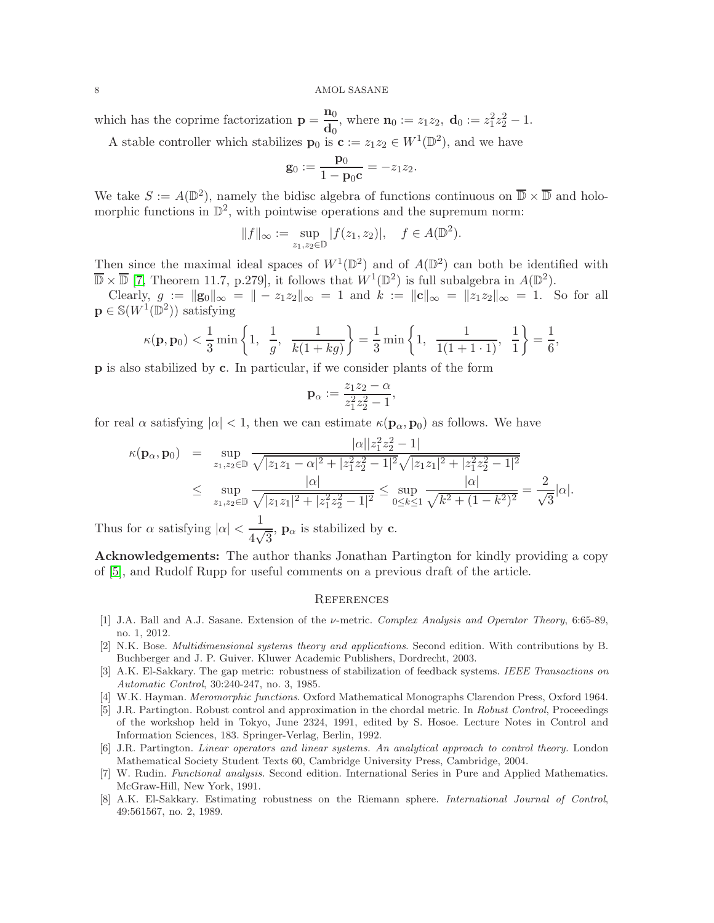which has the coprime factorization  $\mathbf{p} = \frac{\mathbf{n}_0}{\mathbf{n}}$  $\frac{\mathbf{n}_0}{\mathbf{d}_0}$ , where  $\mathbf{n}_0 := z_1 z_2$ ,  $\mathbf{d}_0 := z_1^2 z_2^2 - 1$ .

A stable controller which stabilizes  $\mathbf{p}_0$  is  $\mathbf{c} := z_1 z_2 \in W^1(\mathbb{D}^2)$ , and we have

$$
\mathbf{g}_0 := \frac{\mathbf{p}_0}{1 - \mathbf{p}_0 \mathbf{c}} = -z_1 z_2.
$$

We take  $S := A(\mathbb{D}^2)$ , namely the bidisc algebra of functions continuous on  $\overline{\mathbb{D}} \times \overline{\mathbb{D}}$  and holomorphic functions in  $\mathbb{D}^2$ , with pointwise operations and the supremum norm:

$$
||f||_{\infty} := \sup_{z_1, z_2 \in \mathbb{D}} |f(z_1, z_2)|, \quad f \in A(\mathbb{D}^2).
$$

Then since the maximal ideal spaces of  $W^1(\mathbb{D}^2)$  and of  $A(\mathbb{D}^2)$  can both be identified with  $\overline{\mathbb{D}} \times \overline{\mathbb{D}}$  [\[7,](#page-7-6) Theorem 11.7, p.279], it follows that  $W^1(\mathbb{D}^2)$  is full subalgebra in  $A(\mathbb{D}^2)$ .

Clearly,  $g := ||g_0||_{\infty} = || - z_1 z_2||_{\infty} = 1$  and  $k := ||c||_{\infty} = ||z_1 z_2||_{\infty} = 1$ . So for all  $\mathbf{p} \in \mathbb{S}(W^1(\mathbb{D}^2))$  satisfying

$$
\kappa(\mathbf{p}, \mathbf{p}_0) < \frac{1}{3} \min \left\{ 1, \frac{1}{g}, \frac{1}{k(1+kg)} \right\} = \frac{1}{3} \min \left\{ 1, \frac{1}{1(1+1\cdot 1)}, \frac{1}{1} \right\} = \frac{1}{6},
$$

p is also stabilized by c. In particular, if we consider plants of the form

$$
\mathbf{p}_{\alpha} := \frac{z_1 z_2 - \alpha}{z_1^2 z_2^2 - 1},
$$

for real  $\alpha$  satisfying  $|\alpha| < 1$ , then we can estimate  $\kappa(\mathbf{p}_{\alpha}, \mathbf{p}_0)$  as follows. We have

$$
\kappa(\mathbf{p}_{\alpha}, \mathbf{p}_{0}) = \sup_{z_{1}, z_{2} \in \mathbb{D}} \frac{|\alpha||z_{1}^{2}z_{2}^{2} - 1|}{\sqrt{|z_{1}z_{1} - \alpha|^{2} + |z_{1}^{2}z_{2}^{2} - 1|^{2}} \sqrt{|z_{1}z_{1}|^{2} + |z_{1}^{2}z_{2}^{2} - 1|^{2}}} \le \sup_{z_{1}, z_{2} \in \mathbb{D}} \frac{|\alpha|}{\sqrt{|z_{1}z_{1}|^{2} + |z_{1}^{2}z_{2}^{2} - 1|^{2}}} \le \sup_{0 \le k \le 1} \frac{|\alpha|}{\sqrt{k^{2} + (1 - k^{2})^{2}}} = \frac{2}{\sqrt{3}} |\alpha|.
$$

Thus for  $\alpha$  satisfying  $|\alpha| < \frac{1}{4\sqrt{2}}$  $\frac{1}{4\sqrt{3}}$ ,  $\mathbf{p}_{\alpha}$  is stabilized by **c**.

Acknowledgements: The author thanks Jonathan Partington for kindly providing a copy of [\[5\]](#page-7-1), and Rudolf Rupp for useful comments on a previous draft of the article.

#### **REFERENCES**

- <span id="page-7-2"></span>[1] J.A. Ball and A.J. Sasane. Extension of the ν-metric. Complex Analysis and Operator Theory, 6:65-89, no. 1, 2012.
- <span id="page-7-5"></span>[2] N.K. Bose. Multidimensional systems theory and applications. Second edition. With contributions by B. Buchberger and J. P. Guiver. Kluwer Academic Publishers, Dordrecht, 2003.
- [3] A.K. El-Sakkary. The gap metric: robustness of stabilization of feedback systems. IEEE Transactions on Automatic Control, 30:240-247, no. 3, 1985.
- <span id="page-7-3"></span><span id="page-7-1"></span>[4] W.K. Hayman. Meromorphic functions. Oxford Mathematical Monographs Clarendon Press, Oxford 1964.
- [5] J.R. Partington. Robust control and approximation in the chordal metric. In Robust Control, Proceedings of the workshop held in Tokyo, June 2324, 1991, edited by S. Hosoe. Lecture Notes in Control and Information Sciences, 183. Springer-Verlag, Berlin, 1992.
- <span id="page-7-0"></span>[6] J.R. Partington. Linear operators and linear systems. An analytical approach to control theory. London Mathematical Society Student Texts 60, Cambridge University Press, Cambridge, 2004.
- <span id="page-7-6"></span>[7] W. Rudin. Functional analysis. Second edition. International Series in Pure and Applied Mathematics. McGraw-Hill, New York, 1991.
- <span id="page-7-4"></span>[8] A.K. El-Sakkary. Estimating robustness on the Riemann sphere. International Journal of Control, 49:561567, no. 2, 1989.